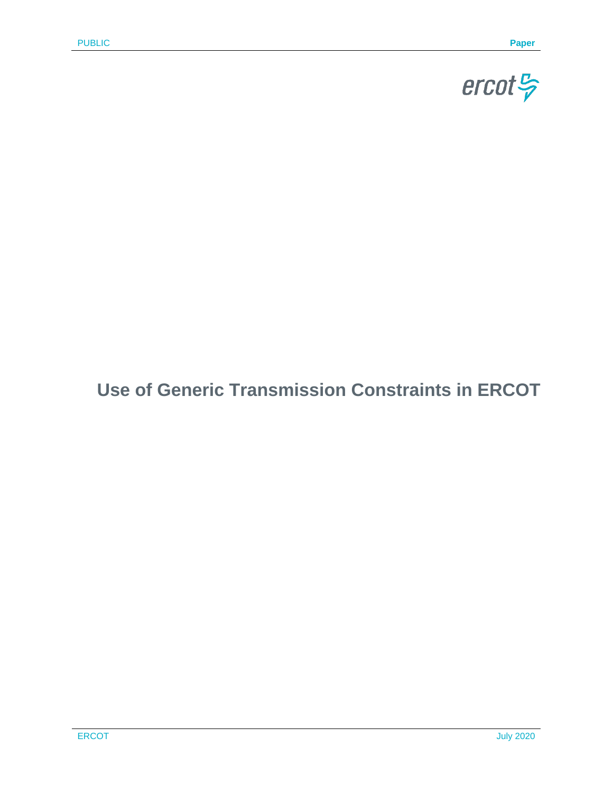

# **Use of Generic Transmission Constraints in ERCOT**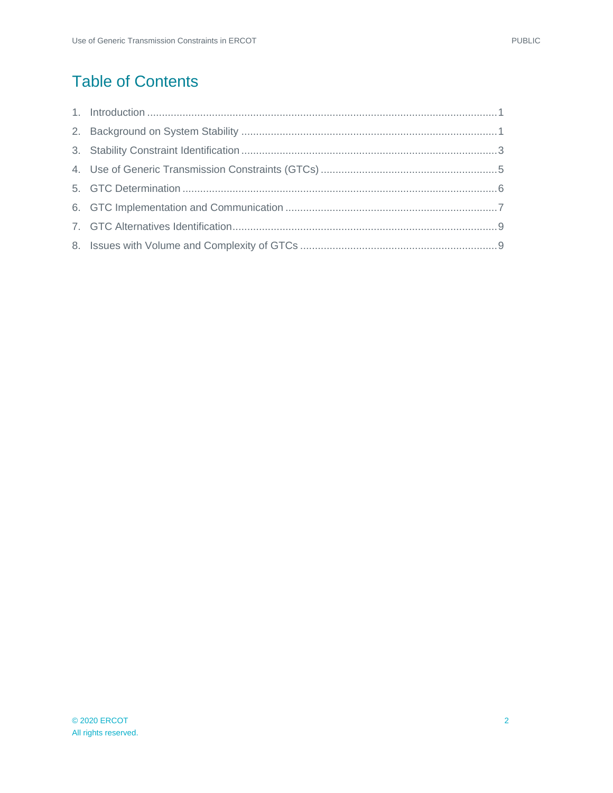# Table of Contents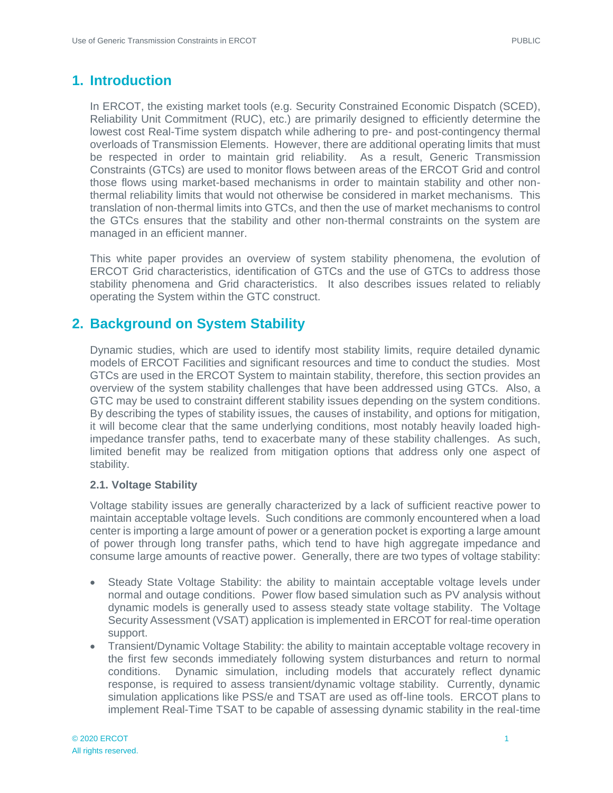### <span id="page-2-0"></span>**1. Introduction**

In ERCOT, the existing market tools (e.g. Security Constrained Economic Dispatch (SCED), Reliability Unit Commitment (RUC), etc.) are primarily designed to efficiently determine the lowest cost Real-Time system dispatch while adhering to pre- and post-contingency thermal overloads of Transmission Elements. However, there are additional operating limits that must be respected in order to maintain grid reliability. As a result, Generic Transmission Constraints (GTCs) are used to monitor flows between areas of the ERCOT Grid and control those flows using market-based mechanisms in order to maintain stability and other nonthermal reliability limits that would not otherwise be considered in market mechanisms. This translation of non-thermal limits into GTCs, and then the use of market mechanisms to control the GTCs ensures that the stability and other non-thermal constraints on the system are managed in an efficient manner.

This white paper provides an overview of system stability phenomena, the evolution of ERCOT Grid characteristics, identification of GTCs and the use of GTCs to address those stability phenomena and Grid characteristics. It also describes issues related to reliably operating the System within the GTC construct.

### <span id="page-2-1"></span>**2. Background on System Stability**

Dynamic studies, which are used to identify most stability limits, require detailed dynamic models of ERCOT Facilities and significant resources and time to conduct the studies. Most GTCs are used in the ERCOT System to maintain stability, therefore, this section provides an overview of the system stability challenges that have been addressed using GTCs. Also, a GTC may be used to constraint different stability issues depending on the system conditions. By describing the types of stability issues, the causes of instability, and options for mitigation, it will become clear that the same underlying conditions, most notably heavily loaded highimpedance transfer paths, tend to exacerbate many of these stability challenges. As such, limited benefit may be realized from mitigation options that address only one aspect of stability.

### **2.1. Voltage Stability**

Voltage stability issues are generally characterized by a lack of sufficient reactive power to maintain acceptable voltage levels. Such conditions are commonly encountered when a load center is importing a large amount of power or a generation pocket is exporting a large amount of power through long transfer paths, which tend to have high aggregate impedance and consume large amounts of reactive power. Generally, there are two types of voltage stability:

- Steady State Voltage Stability: the ability to maintain acceptable voltage levels under normal and outage conditions. Power flow based simulation such as PV analysis without dynamic models is generally used to assess steady state voltage stability. The Voltage Security Assessment (VSAT) application is implemented in ERCOT for real-time operation support.
- Transient/Dynamic Voltage Stability: the ability to maintain acceptable voltage recovery in the first few seconds immediately following system disturbances and return to normal conditions. Dynamic simulation, including models that accurately reflect dynamic response, is required to assess transient/dynamic voltage stability. Currently, dynamic simulation applications like PSS/e and TSAT are used as off-line tools. ERCOT plans to implement Real-Time TSAT to be capable of assessing dynamic stability in the real-time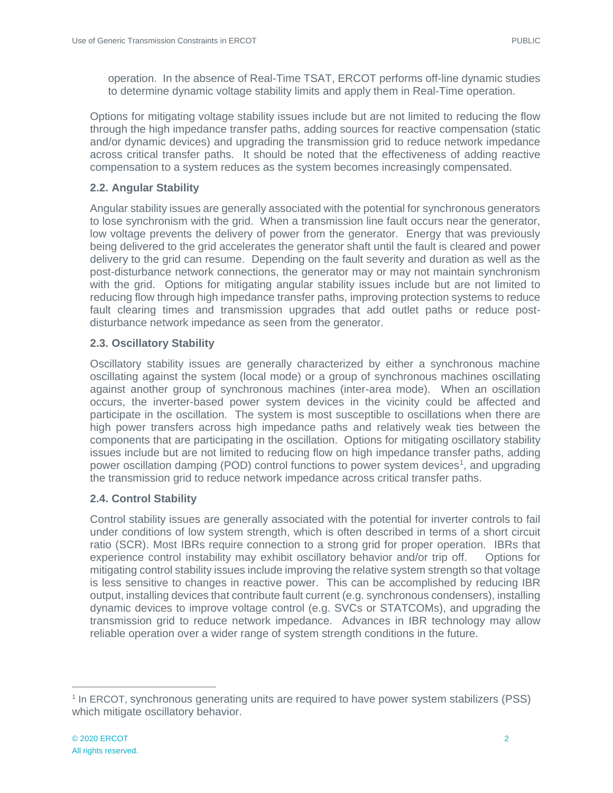operation. In the absence of Real-Time TSAT, ERCOT performs off-line dynamic studies to determine dynamic voltage stability limits and apply them in Real-Time operation.

Options for mitigating voltage stability issues include but are not limited to reducing the flow through the high impedance transfer paths, adding sources for reactive compensation (static and/or dynamic devices) and upgrading the transmission grid to reduce network impedance across critical transfer paths. It should be noted that the effectiveness of adding reactive compensation to a system reduces as the system becomes increasingly compensated.

### **2.2. Angular Stability**

Angular stability issues are generally associated with the potential for synchronous generators to lose synchronism with the grid. When a transmission line fault occurs near the generator, low voltage prevents the delivery of power from the generator. Energy that was previously being delivered to the grid accelerates the generator shaft until the fault is cleared and power delivery to the grid can resume. Depending on the fault severity and duration as well as the post-disturbance network connections, the generator may or may not maintain synchronism with the grid. Options for mitigating angular stability issues include but are not limited to reducing flow through high impedance transfer paths, improving protection systems to reduce fault clearing times and transmission upgrades that add outlet paths or reduce postdisturbance network impedance as seen from the generator.

### **2.3. Oscillatory Stability**

Oscillatory stability issues are generally characterized by either a synchronous machine oscillating against the system (local mode) or a group of synchronous machines oscillating against another group of synchronous machines (inter-area mode). When an oscillation occurs, the inverter-based power system devices in the vicinity could be affected and participate in the oscillation. The system is most susceptible to oscillations when there are high power transfers across high impedance paths and relatively weak ties between the components that are participating in the oscillation. Options for mitigating oscillatory stability issues include but are not limited to reducing flow on high impedance transfer paths, adding power oscillation damping (POD) control functions to power system devices<sup>1</sup>, and upgrading the transmission grid to reduce network impedance across critical transfer paths.

### **2.4. Control Stability**

Control stability issues are generally associated with the potential for inverter controls to fail under conditions of low system strength, which is often described in terms of a short circuit ratio (SCR). Most IBRs require connection to a strong grid for proper operation. IBRs that experience control instability may exhibit oscillatory behavior and/or trip off. Options for mitigating control stability issues include improving the relative system strength so that voltage is less sensitive to changes in reactive power. This can be accomplished by reducing IBR output, installing devices that contribute fault current (e.g. synchronous condensers), installing dynamic devices to improve voltage control (e.g. SVCs or STATCOMs), and upgrading the transmission grid to reduce network impedance. Advances in IBR technology may allow reliable operation over a wider range of system strength conditions in the future.

 $\overline{a}$ 

<sup>&</sup>lt;sup>1</sup> In ERCOT, synchronous generating units are required to have power system stabilizers (PSS) which mitigate oscillatory behavior.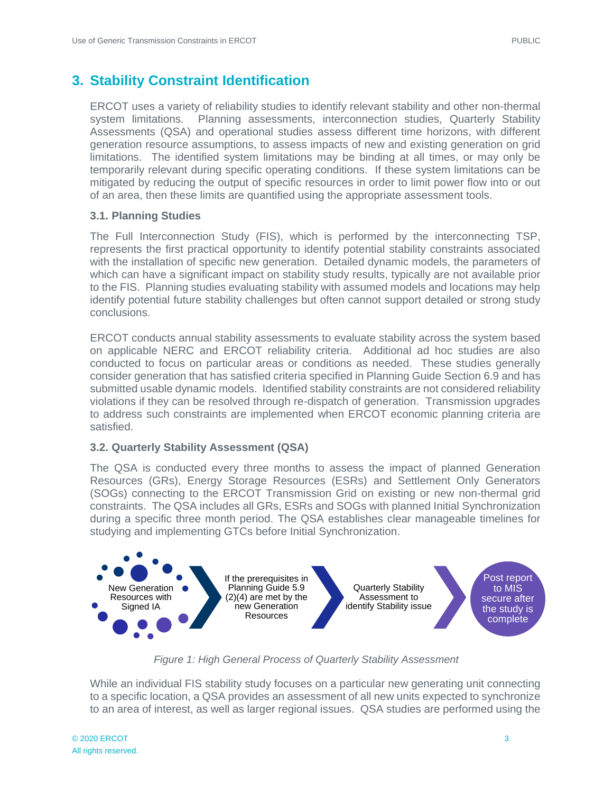## <span id="page-4-0"></span>**3. Stability Constraint Identification**

ERCOT uses a variety of reliability studies to identify relevant stability and other non-thermal system limitations. Planning assessments, interconnection studies, Quarterly Stability Assessments (QSA) and operational studies assess different time horizons, with different generation resource assumptions, to assess impacts of new and existing generation on grid limitations. The identified system limitations may be binding at all times, or may only be temporarily relevant during specific operating conditions. If these system limitations can be mitigated by reducing the output of specific resources in order to limit power flow into or out of an area, then these limits are quantified using the appropriate assessment tools.

### **3.1. Planning Studies**

The Full Interconnection Study (FIS), which is performed by the interconnecting TSP, represents the first practical opportunity to identify potential stability constraints associated with the installation of specific new generation. Detailed dynamic models, the parameters of which can have a significant impact on stability study results, typically are not available prior to the FIS. Planning studies evaluating stability with assumed models and locations may help identify potential future stability challenges but often cannot support detailed or strong study conclusions.

ERCOT conducts annual stability assessments to evaluate stability across the system based on applicable NERC and ERCOT reliability criteria. Additional ad hoc studies are also conducted to focus on particular areas or conditions as needed. These studies generally consider generation that has satisfied criteria specified in Planning Guide Section 6.9 and has submitted usable dynamic models. Identified stability constraints are not considered reliability violations if they can be resolved through re-dispatch of generation. Transmission upgrades to address such constraints are implemented when ERCOT economic planning criteria are satisfied.

### **3.2. Quarterly Stability Assessment (QSA)**

The QSA is conducted every three months to assess the impact of planned Generation Resources (GRs), Energy Storage Resources (ESRs) and Settlement Only Generators (SOGs) connecting to the ERCOT Transmission Grid on existing or new non-thermal grid constraints. The QSA includes all GRs, ESRs and SOGs with planned Initial Synchronization during a specific three month period. The QSA establishes clear manageable timelines for studying and implementing GTCs before Initial Synchronization.



*Figure 1: High General Process of Quarterly Stability Assessment*

While an individual FIS stability study focuses on a particular new generating unit connecting to a specific location, a QSA provides an assessment of all new units expected to synchronize to an area of interest, as well as larger regional issues. QSA studies are performed using the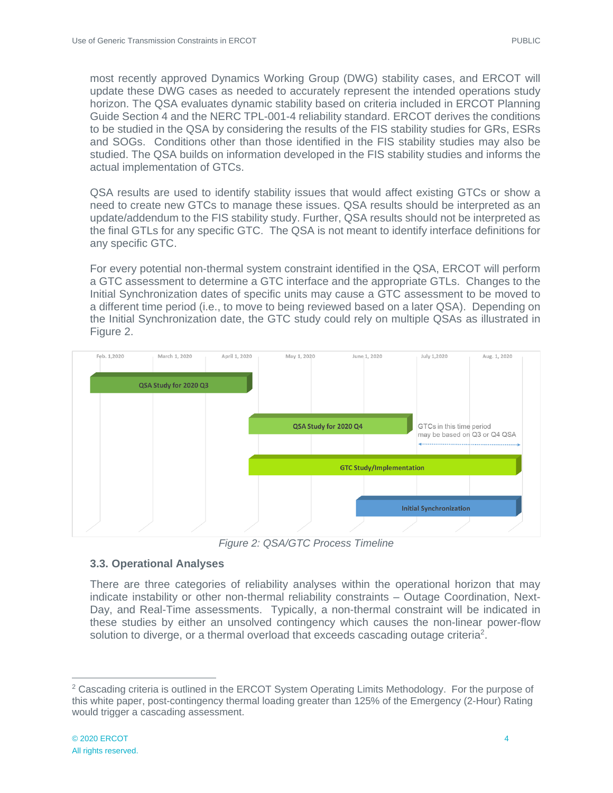most recently approved Dynamics Working Group (DWG) stability cases, and ERCOT will update these DWG cases as needed to accurately represent the intended operations study horizon. The QSA evaluates dynamic stability based on criteria included in ERCOT Planning Guide Section 4 and the NERC TPL-001-4 reliability standard. ERCOT derives the conditions to be studied in the QSA by considering the results of the FIS stability studies for GRs, ESRs and SOGs. Conditions other than those identified in the FIS stability studies may also be studied. The QSA builds on information developed in the FIS stability studies and informs the actual implementation of GTCs.

QSA results are used to identify stability issues that would affect existing GTCs or show a need to create new GTCs to manage these issues. QSA results should be interpreted as an update/addendum to the FIS stability study. Further, QSA results should not be interpreted as the final GTLs for any specific GTC. The QSA is not meant to identify interface definitions for any specific GTC.

For every potential non-thermal system constraint identified in the QSA, ERCOT will perform a GTC assessment to determine a GTC interface and the appropriate GTLs. Changes to the Initial Synchronization dates of specific units may cause a GTC assessment to be moved to a different time period (i.e., to move to being reviewed based on a later QSA). Depending on the Initial Synchronization date, the GTC study could rely on multiple QSAs as illustrated in Figure 2.



*Figure 2: QSA/GTC Process Timeline*

### **3.3. Operational Analyses**

There are three categories of reliability analyses within the operational horizon that may indicate instability or other non-thermal reliability constraints – Outage Coordination, Next-Day, and Real-Time assessments. Typically, a non-thermal constraint will be indicated in these studies by either an unsolved contingency which causes the non-linear power-flow solution to diverge, or a thermal overload that exceeds cascading outage criteria<sup>2</sup>.

 $\overline{a}$ 

<sup>&</sup>lt;sup>2</sup> Cascading criteria is outlined in the ERCOT System Operating Limits Methodology. For the purpose of this white paper, post-contingency thermal loading greater than 125% of the Emergency (2-Hour) Rating would trigger a cascading assessment.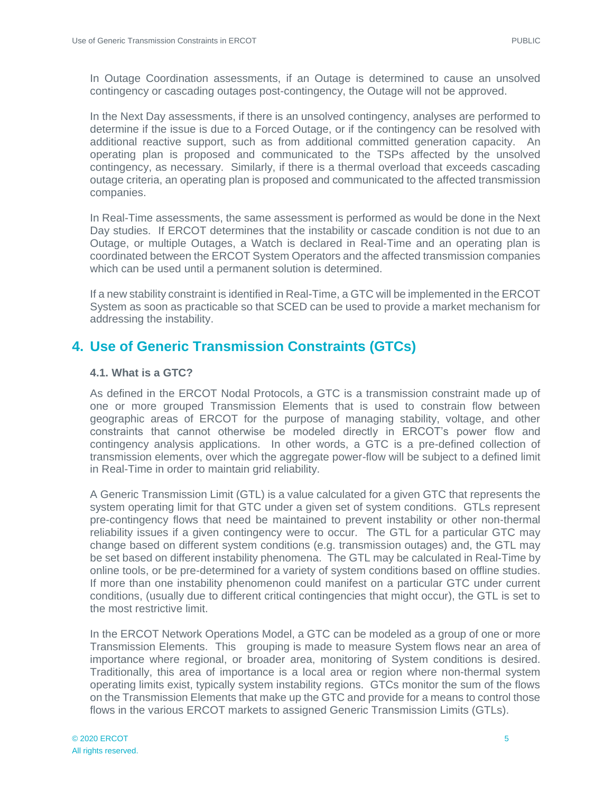In Outage Coordination assessments, if an Outage is determined to cause an unsolved contingency or cascading outages post-contingency, the Outage will not be approved.

In the Next Day assessments, if there is an unsolved contingency, analyses are performed to determine if the issue is due to a Forced Outage, or if the contingency can be resolved with additional reactive support, such as from additional committed generation capacity. An operating plan is proposed and communicated to the TSPs affected by the unsolved contingency, as necessary. Similarly, if there is a thermal overload that exceeds cascading outage criteria, an operating plan is proposed and communicated to the affected transmission companies.

In Real-Time assessments, the same assessment is performed as would be done in the Next Day studies. If ERCOT determines that the instability or cascade condition is not due to an Outage, or multiple Outages, a Watch is declared in Real-Time and an operating plan is coordinated between the ERCOT System Operators and the affected transmission companies which can be used until a permanent solution is determined.

If a new stability constraint is identified in Real-Time, a GTC will be implemented in the ERCOT System as soon as practicable so that SCED can be used to provide a market mechanism for addressing the instability.

### <span id="page-6-0"></span>**4. Use of Generic Transmission Constraints (GTCs)**

### **4.1. What is a GTC?**

As defined in the ERCOT Nodal Protocols, a GTC is a transmission constraint made up of one or more grouped Transmission Elements that is used to constrain flow between geographic areas of ERCOT for the purpose of managing stability, voltage, and other constraints that cannot otherwise be modeled directly in ERCOT's power flow and contingency analysis applications. In other words, a GTC is a pre-defined collection of transmission elements, over which the aggregate power-flow will be subject to a defined limit in Real-Time in order to maintain grid reliability.

A Generic Transmission Limit (GTL) is a value calculated for a given GTC that represents the system operating limit for that GTC under a given set of system conditions. GTLs represent pre-contingency flows that need be maintained to prevent instability or other non-thermal reliability issues if a given contingency were to occur. The GTL for a particular GTC may change based on different system conditions (e.g. transmission outages) and, the GTL may be set based on different instability phenomena. The GTL may be calculated in Real-Time by online tools, or be pre-determined for a variety of system conditions based on offline studies. If more than one instability phenomenon could manifest on a particular GTC under current conditions, (usually due to different critical contingencies that might occur), the GTL is set to the most restrictive limit.

In the ERCOT Network Operations Model, a GTC can be modeled as a group of one or more Transmission Elements. This grouping is made to measure System flows near an area of importance where regional, or broader area, monitoring of System conditions is desired. Traditionally, this area of importance is a local area or region where non-thermal system operating limits exist, typically system instability regions. GTCs monitor the sum of the flows on the Transmission Elements that make up the GTC and provide for a means to control those flows in the various ERCOT markets to assigned Generic Transmission Limits (GTLs).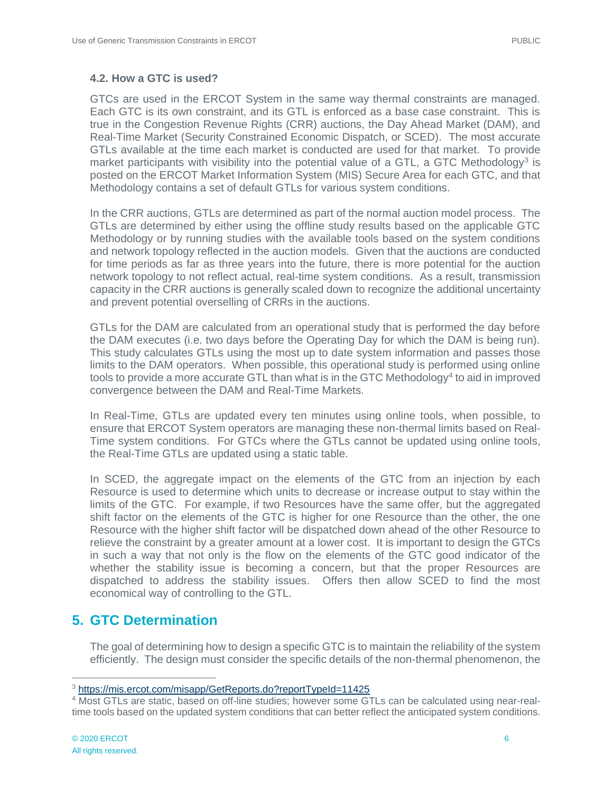#### **4.2. How a GTC is used?**

GTCs are used in the ERCOT System in the same way thermal constraints are managed. Each GTC is its own constraint, and its GTL is enforced as a base case constraint. This is true in the Congestion Revenue Rights (CRR) auctions, the Day Ahead Market (DAM), and Real-Time Market (Security Constrained Economic Dispatch, or SCED). The most accurate GTLs available at the time each market is conducted are used for that market. To provide market participants with visibility into the potential value of a GTL, a GTC Methodology<sup>3</sup> is posted on the ERCOT Market Information System (MIS) Secure Area for each GTC, and that Methodology contains a set of default GTLs for various system conditions.

In the CRR auctions, GTLs are determined as part of the normal auction model process. The GTLs are determined by either using the offline study results based on the applicable GTC Methodology or by running studies with the available tools based on the system conditions and network topology reflected in the auction models. Given that the auctions are conducted for time periods as far as three years into the future, there is more potential for the auction network topology to not reflect actual, real-time system conditions. As a result, transmission capacity in the CRR auctions is generally scaled down to recognize the additional uncertainty and prevent potential overselling of CRRs in the auctions.

GTLs for the DAM are calculated from an operational study that is performed the day before the DAM executes (i.e. two days before the Operating Day for which the DAM is being run). This study calculates GTLs using the most up to date system information and passes those limits to the DAM operators. When possible, this operational study is performed using online tools to provide a more accurate GTL than what is in the GTC Methodology<sup>4</sup> to aid in improved convergence between the DAM and Real-Time Markets.

In Real-Time, GTLs are updated every ten minutes using online tools, when possible, to ensure that ERCOT System operators are managing these non-thermal limits based on Real-Time system conditions. For GTCs where the GTLs cannot be updated using online tools, the Real-Time GTLs are updated using a static table.

In SCED, the aggregate impact on the elements of the GTC from an injection by each Resource is used to determine which units to decrease or increase output to stay within the limits of the GTC. For example, if two Resources have the same offer, but the aggregated shift factor on the elements of the GTC is higher for one Resource than the other, the one Resource with the higher shift factor will be dispatched down ahead of the other Resource to relieve the constraint by a greater amount at a lower cost. It is important to design the GTCs in such a way that not only is the flow on the elements of the GTC good indicator of the whether the stability issue is becoming a concern, but that the proper Resources are dispatched to address the stability issues. Offers then allow SCED to find the most economical way of controlling to the GTL.

### <span id="page-7-0"></span>**5. GTC Determination**

The goal of determining how to design a specific GTC is to maintain the reliability of the system efficiently. The design must consider the specific details of the non-thermal phenomenon, the

 $\overline{a}$ <sup>3</sup> <https://mis.ercot.com/misapp/GetReports.do?reportTypeId=11425>

<sup>4</sup> Most GTLs are static, based on off-line studies; however some GTLs can be calculated using near-realtime tools based on the updated system conditions that can better reflect the anticipated system conditions.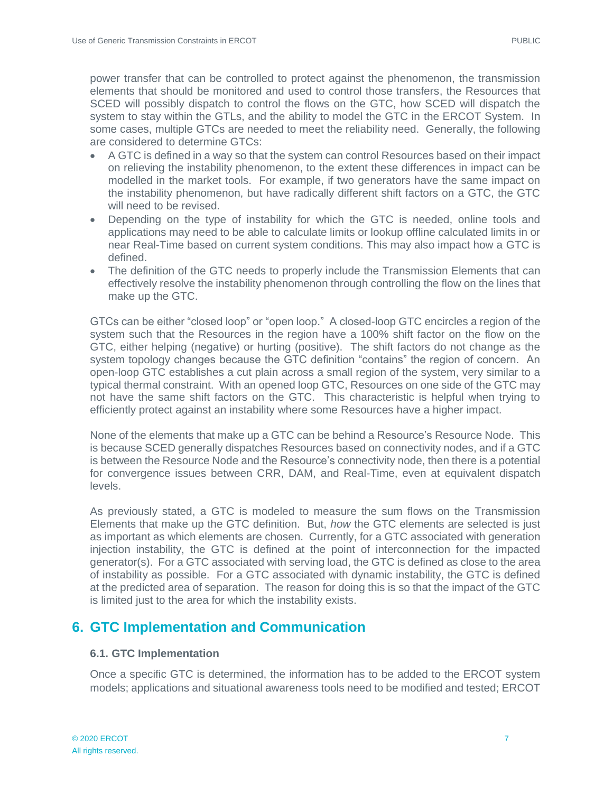power transfer that can be controlled to protect against the phenomenon, the transmission elements that should be monitored and used to control those transfers, the Resources that SCED will possibly dispatch to control the flows on the GTC, how SCED will dispatch the system to stay within the GTLs, and the ability to model the GTC in the ERCOT System. In some cases, multiple GTCs are needed to meet the reliability need. Generally, the following are considered to determine GTCs:

- A GTC is defined in a way so that the system can control Resources based on their impact on relieving the instability phenomenon, to the extent these differences in impact can be modelled in the market tools. For example, if two generators have the same impact on the instability phenomenon, but have radically different shift factors on a GTC, the GTC will need to be revised.
- Depending on the type of instability for which the GTC is needed, online tools and applications may need to be able to calculate limits or lookup offline calculated limits in or near Real-Time based on current system conditions. This may also impact how a GTC is defined.
- The definition of the GTC needs to properly include the Transmission Elements that can effectively resolve the instability phenomenon through controlling the flow on the lines that make up the GTC.

GTCs can be either "closed loop" or "open loop." A closed-loop GTC encircles a region of the system such that the Resources in the region have a 100% shift factor on the flow on the GTC, either helping (negative) or hurting (positive). The shift factors do not change as the system topology changes because the GTC definition "contains" the region of concern. An open-loop GTC establishes a cut plain across a small region of the system, very similar to a typical thermal constraint. With an opened loop GTC, Resources on one side of the GTC may not have the same shift factors on the GTC. This characteristic is helpful when trying to efficiently protect against an instability where some Resources have a higher impact.

None of the elements that make up a GTC can be behind a Resource's Resource Node. This is because SCED generally dispatches Resources based on connectivity nodes, and if a GTC is between the Resource Node and the Resource's connectivity node, then there is a potential for convergence issues between CRR, DAM, and Real-Time, even at equivalent dispatch levels.

As previously stated, a GTC is modeled to measure the sum flows on the Transmission Elements that make up the GTC definition. But, *how* the GTC elements are selected is just as important as which elements are chosen. Currently, for a GTC associated with generation injection instability, the GTC is defined at the point of interconnection for the impacted generator(s). For a GTC associated with serving load, the GTC is defined as close to the area of instability as possible. For a GTC associated with dynamic instability, the GTC is defined at the predicted area of separation. The reason for doing this is so that the impact of the GTC is limited just to the area for which the instability exists.

## <span id="page-8-0"></span>**6. GTC Implementation and Communication**

### **6.1. GTC Implementation**

Once a specific GTC is determined, the information has to be added to the ERCOT system models; applications and situational awareness tools need to be modified and tested; ERCOT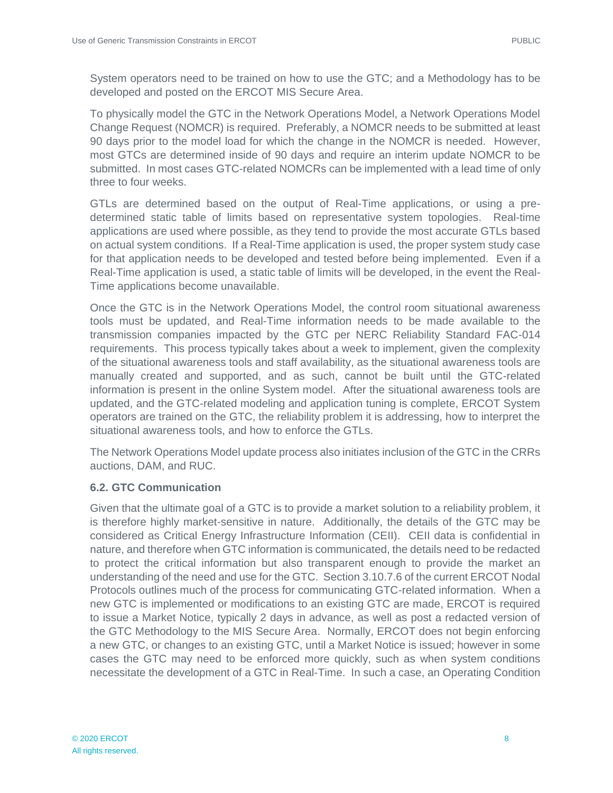System operators need to be trained on how to use the GTC; and a Methodology has to be developed and posted on the ERCOT MIS Secure Area.

To physically model the GTC in the Network Operations Model, a Network Operations Model Change Request (NOMCR) is required. Preferably, a NOMCR needs to be submitted at least 90 days prior to the model load for which the change in the NOMCR is needed. However, most GTCs are determined inside of 90 days and require an interim update NOMCR to be submitted. In most cases GTC-related NOMCRs can be implemented with a lead time of only three to four weeks.

GTLs are determined based on the output of Real-Time applications, or using a predetermined static table of limits based on representative system topologies. Real-time applications are used where possible, as they tend to provide the most accurate GTLs based on actual system conditions. If a Real-Time application is used, the proper system study case for that application needs to be developed and tested before being implemented. Even if a Real-Time application is used, a static table of limits will be developed, in the event the Real-Time applications become unavailable.

Once the GTC is in the Network Operations Model, the control room situational awareness tools must be updated, and Real-Time information needs to be made available to the transmission companies impacted by the GTC per NERC Reliability Standard FAC-014 requirements. This process typically takes about a week to implement, given the complexity of the situational awareness tools and staff availability, as the situational awareness tools are manually created and supported, and as such, cannot be built until the GTC-related information is present in the online System model. After the situational awareness tools are updated, and the GTC-related modeling and application tuning is complete, ERCOT System operators are trained on the GTC, the reliability problem it is addressing, how to interpret the situational awareness tools, and how to enforce the GTLs.

The Network Operations Model update process also initiates inclusion of the GTC in the CRRs auctions, DAM, and RUC.

### **6.2. GTC Communication**

Given that the ultimate goal of a GTC is to provide a market solution to a reliability problem, it is therefore highly market-sensitive in nature. Additionally, the details of the GTC may be considered as Critical Energy Infrastructure Information (CEII). CEII data is confidential in nature, and therefore when GTC information is communicated, the details need to be redacted to protect the critical information but also transparent enough to provide the market an understanding of the need and use for the GTC. Section 3.10.7.6 of the current ERCOT Nodal Protocols outlines much of the process for communicating GTC-related information. When a new GTC is implemented or modifications to an existing GTC are made, ERCOT is required to issue a Market Notice, typically 2 days in advance, as well as post a redacted version of the GTC Methodology to the MIS Secure Area. Normally, ERCOT does not begin enforcing a new GTC, or changes to an existing GTC, until a Market Notice is issued; however in some cases the GTC may need to be enforced more quickly, such as when system conditions necessitate the development of a GTC in Real-Time. In such a case, an Operating Condition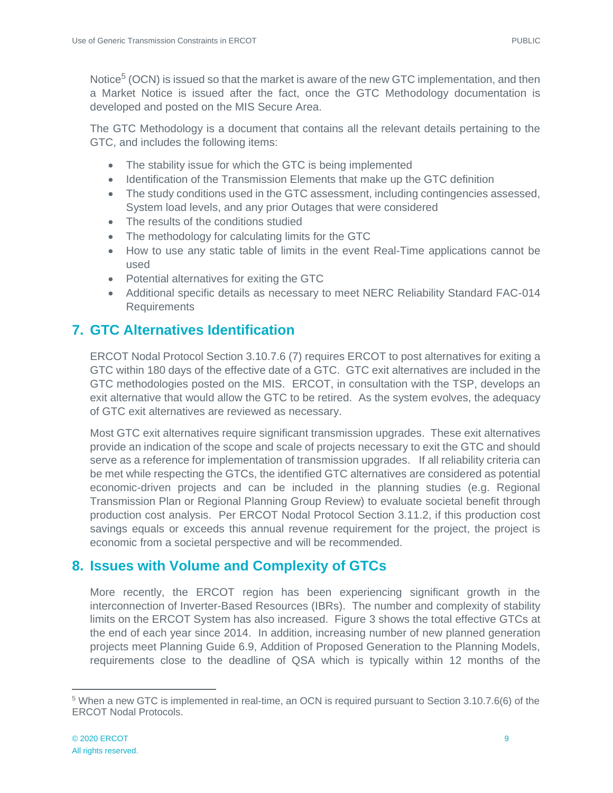Notice<sup>5</sup> (OCN) is issued so that the market is aware of the new GTC implementation, and then a Market Notice is issued after the fact, once the GTC Methodology documentation is developed and posted on the MIS Secure Area.

The GTC Methodology is a document that contains all the relevant details pertaining to the GTC, and includes the following items:

- The stability issue for which the GTC is being implemented
- Identification of the Transmission Elements that make up the GTC definition
- The study conditions used in the GTC assessment, including contingencies assessed, System load levels, and any prior Outages that were considered
- The results of the conditions studied
- The methodology for calculating limits for the GTC
- How to use any static table of limits in the event Real-Time applications cannot be used
- Potential alternatives for exiting the GTC
- Additional specific details as necessary to meet NERC Reliability Standard FAC-014 Requirements

# <span id="page-10-0"></span>**7. GTC Alternatives Identification**

ERCOT Nodal Protocol Section 3.10.7.6 (7) requires ERCOT to post alternatives for exiting a GTC within 180 days of the effective date of a GTC. GTC exit alternatives are included in the GTC methodologies posted on the MIS. ERCOT, in consultation with the TSP, develops an exit alternative that would allow the GTC to be retired. As the system evolves, the adequacy of GTC exit alternatives are reviewed as necessary.

Most GTC exit alternatives require significant transmission upgrades. These exit alternatives provide an indication of the scope and scale of projects necessary to exit the GTC and should serve as a reference for implementation of transmission upgrades. If all reliability criteria can be met while respecting the GTCs, the identified GTC alternatives are considered as potential economic-driven projects and can be included in the planning studies (e.g. Regional Transmission Plan or Regional Planning Group Review) to evaluate societal benefit through production cost analysis. Per ERCOT Nodal Protocol Section 3.11.2, if this production cost savings equals or exceeds this annual revenue requirement for the project, the project is economic from a societal perspective and will be recommended.

# <span id="page-10-1"></span>**8. Issues with Volume and Complexity of GTCs**

More recently, the ERCOT region has been experiencing significant growth in the interconnection of Inverter-Based Resources (IBRs). The number and complexity of stability limits on the ERCOT System has also increased. Figure 3 shows the total effective GTCs at the end of each year since 2014. In addition, increasing number of new planned generation projects meet Planning Guide 6.9, Addition of Proposed Generation to the Planning Models, requirements close to the deadline of QSA which is typically within 12 months of the

 $\overline{a}$ <sup>5</sup> When a new GTC is implemented in real-time, an OCN is required pursuant to Section 3.10.7.6(6) of the ERCOT Nodal Protocols.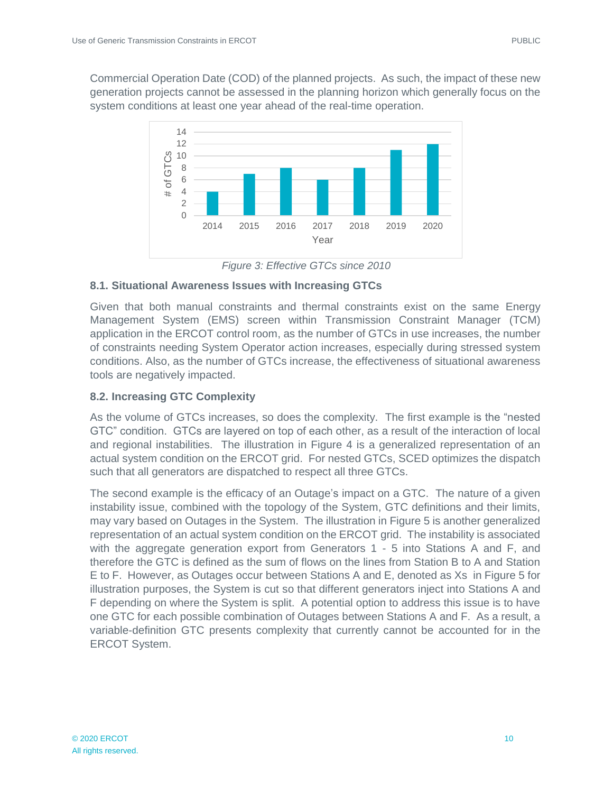Commercial Operation Date (COD) of the planned projects. As such, the impact of these new generation projects cannot be assessed in the planning horizon which generally focus on the system conditions at least one year ahead of the real-time operation.



*Figure 3: Effective GTCs since 2010*

### **8.1. Situational Awareness Issues with Increasing GTCs**

Given that both manual constraints and thermal constraints exist on the same Energy Management System (EMS) screen within Transmission Constraint Manager (TCM) application in the ERCOT control room, as the number of GTCs in use increases, the number of constraints needing System Operator action increases, especially during stressed system conditions. Also, as the number of GTCs increase, the effectiveness of situational awareness tools are negatively impacted.

### **8.2. Increasing GTC Complexity**

As the volume of GTCs increases, so does the complexity. The first example is the "nested GTC" condition. GTCs are layered on top of each other, as a result of the interaction of local and regional instabilities. The illustration in Figure 4 is a generalized representation of an actual system condition on the ERCOT grid. For nested GTCs, SCED optimizes the dispatch such that all generators are dispatched to respect all three GTCs.

The second example is the efficacy of an Outage's impact on a GTC. The nature of a given instability issue, combined with the topology of the System, GTC definitions and their limits, may vary based on Outages in the System. The illustration in Figure 5 is another generalized representation of an actual system condition on the ERCOT grid. The instability is associated with the aggregate generation export from Generators 1 - 5 into Stations A and F, and therefore the GTC is defined as the sum of flows on the lines from Station B to A and Station E to F. However, as Outages occur between Stations A and E, denoted as Xs in Figure 5 for illustration purposes, the System is cut so that different generators inject into Stations A and F depending on where the System is split. A potential option to address this issue is to have one GTC for each possible combination of Outages between Stations A and F. As a result, a variable-definition GTC presents complexity that currently cannot be accounted for in the ERCOT System.